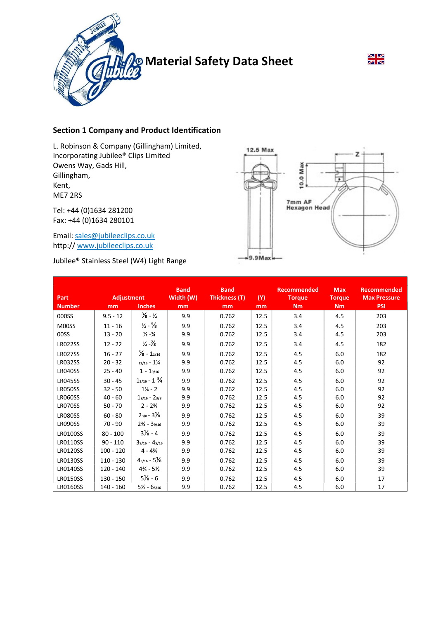

# $\frac{N}{N}$

# Section 1 Company and Product Identification

L. Robinson & Company (Gillingham) Limited, Incorporating Jubilee® Clips Limited Owens Way, Gads Hill, Gillingham, Kent, ME7 2RS

Tel: +44 (0)1634 281200 Fax: +44 (0)1634 280101

Email: sales@jubileeclips.co.uk http:// www.jubileeclips.co.uk

Jubilee® Stainless Steel (W4) Light Range



| <b>Part</b>     | <b>Adjustment</b> |                                  | <b>Band</b><br>Width (W) | <b>Band</b><br>Thickness (T) | (Y)  | <b>Recommended</b><br><b>Torque</b> | <b>Max</b><br><b>Torque</b> | <b>Recommended</b><br><b>Max Pressure</b> |
|-----------------|-------------------|----------------------------------|--------------------------|------------------------------|------|-------------------------------------|-----------------------------|-------------------------------------------|
| <b>Number</b>   | mm                | <b>Inches</b>                    | mm                       | mm                           | mm   | Nm                                  | Nm                          | <b>PSI</b>                                |
| 000SS           | $9.5 - 12$        | $\frac{3}{8}$ - $\frac{1}{2}$    | 9.9                      | 0.762                        | 12.5 | 3.4                                 | 4.5                         | 203                                       |
| M00SS           | $11 - 16$         | $\frac{1}{2} - \frac{5}{8}$      | 9.9                      | 0.762                        | 12.5 | 3.4                                 | 4.5                         | 203                                       |
| 00SS            | $13 - 20$         | $\frac{1}{2} - \frac{3}{4}$      | 9.9                      | 0.762                        | 12.5 | 3.4                                 | 4.5                         | 203                                       |
| <b>LR022SS</b>  | $12 - 22$         | $\frac{1}{2} - \frac{1}{8}$      | 9.9                      | 0.762                        | 12.5 | 3.4                                 | 4.5                         | 182                                       |
| <b>LR027SS</b>  | $16 - 27$         | $\frac{5}{8}$ - 11/16            | 9.9                      | 0.762                        | 12.5 | 4.5                                 | 6.0                         | 182                                       |
| <b>LR032SS</b>  | $20 - 32$         | $13/16 - 1\frac{1}{4}$           | 9.9                      | 0.762                        | 12.5 | 4.5                                 | 6.0                         | 92                                        |
| <b>LR040SS</b>  | $25 - 40$         | $1 - 19/16$                      | 9.9                      | 0.762                        | 12.5 | 4.5                                 | 6.0                         | 92                                        |
| <b>LR045SS</b>  | $30 - 45$         | $1_{3/16} - 1\frac{3}{4}$        | 9.9                      | 0.762                        | 12.5 | 4.5                                 | 6.0                         | 92                                        |
| LR050SS         | $32 - 50$         | $1\frac{1}{4}$ - 2               | 9.9                      | 0.762                        | 12.5 | 4.5                                 | 6.0                         | 92                                        |
| <b>LR060SS</b>  | $40 - 60$         | $19/16 - 23/8$                   | 9.9                      | 0.762                        | 12.5 | 4.5                                 | 6.0                         | 92                                        |
| LR070SS         | $50 - 70$         | $2 - 2\frac{3}{4}$               | 9.9                      | 0.762                        | 12.5 | 4.5                                 | 6.0                         | 92                                        |
| LR080SS         | $60 - 80$         | $2_{3/8} - 3\frac{1}{8}$         | 9.9                      | 0.762                        | 12.5 | 4.5                                 | 6.0                         | 39                                        |
| LR090SS         | $70 - 90$         | $2\frac{3}{4}$ - 39/16           | 9.9                      | 0.762                        | 12.5 | 4.5                                 | 6.0                         | 39                                        |
| <b>LR0100SS</b> | $80 - 100$        | $3\frac{1}{8} - 4$               | 9.9                      | 0.762                        | 12.5 | 4.5                                 | 6.0                         | 39                                        |
| <b>LR0110SS</b> | $90 - 110$        | $39/16 - 45/16$                  | 9.9                      | 0.762                        | 12.5 | 4.5                                 | 6.0                         | 39                                        |
| <b>LR0120SS</b> | $100 - 120$       | $4 - 4\frac{3}{4}$               | 9.9                      | 0.762                        | 12.5 | 4.5                                 | 6.0                         | 39                                        |
| <b>LR0130SS</b> | $110 - 130$       | $4_{5/16} - 5\frac{1}{8}$        | 9.9                      | 0.762                        | 12.5 | 4.5                                 | 6.0                         | 39                                        |
| <b>LR0140SS</b> | $120 - 140$       | $4\frac{3}{4}$ - 5 $\frac{1}{2}$ | 9.9                      | 0.762                        | 12.5 | 4.5                                 | 6.0                         | 39                                        |
| <b>LR0150SS</b> | $130 - 150$       | $5\frac{1}{8} - 6$               | 9.9                      | 0.762                        | 12.5 | 4.5                                 | 6.0                         | 17                                        |
| <b>LR0160SS</b> | $140 - 160$       | $5\frac{1}{2} - 65/16$           | 9.9                      | 0.762                        | 12.5 | 4.5                                 | 6.0                         | 17                                        |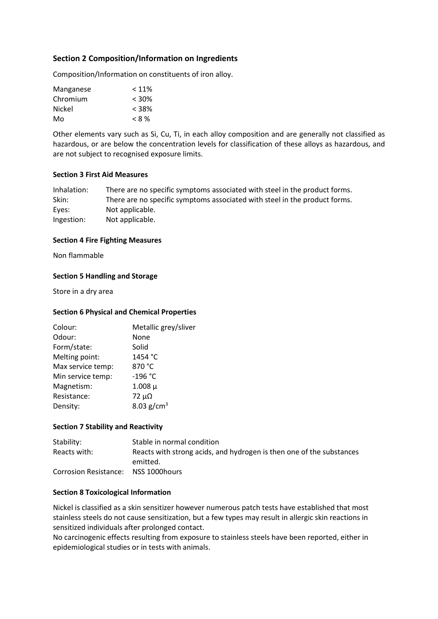# Section 2 Composition/Information on Ingredients

Composition/Information on constituents of iron alloy.

| Manganese | $< 11\%$ |
|-----------|----------|
| Chromium  | $< 30\%$ |
| Nickel    | $< 38\%$ |
| Mo        | $< 8\%$  |

Other elements vary such as Si, Cu, Ti, in each alloy composition and are generally not classified as hazardous, or are below the concentration levels for classification of these alloys as hazardous, and are not subject to recognised exposure limits.

#### Section 3 First Aid Measures

| Inhalation: | There are no specific symptoms associated with steel in the product forms. |
|-------------|----------------------------------------------------------------------------|
| Skin:       | There are no specific symptoms associated with steel in the product forms. |
| Eyes:       | Not applicable.                                                            |
| Ingestion:  | Not applicable.                                                            |

#### Section 4 Fire Fighting Measures

Non flammable

## Section 5 Handling and Storage

Store in a dry area

### Section 6 Physical and Chemical Properties

| Colour:           | Metallic grey/sliver |
|-------------------|----------------------|
| Odour:            | None                 |
| Form/state:       | Solid                |
| Melting point:    | 1454 °C              |
| Max service temp: | 870 °C               |
| Min service temp: | $-196 °C$            |
| Magnetism:        | $1.008 \mu$          |
| Resistance:       | $72 \mu\Omega$       |
| Density:          |                      |
|                   | 8.03 $g/cm^{3}$      |

#### Section 7 Stability and Reactivity

| Stability:            | Stable in normal condition                                           |
|-----------------------|----------------------------------------------------------------------|
| Reacts with:          | Reacts with strong acids, and hydrogen is then one of the substances |
|                       | emitted.                                                             |
| Corrosion Resistance: | NSS 1000hours                                                        |

#### Section 8 Toxicological Information

Nickel is classified as a skin sensitizer however numerous patch tests have established that most stainless steels do not cause sensitization, but a few types may result in allergic skin reactions in sensitized individuals after prolonged contact.

No carcinogenic effects resulting from exposure to stainless steels have been reported, either in epidemiological studies or in tests with animals.